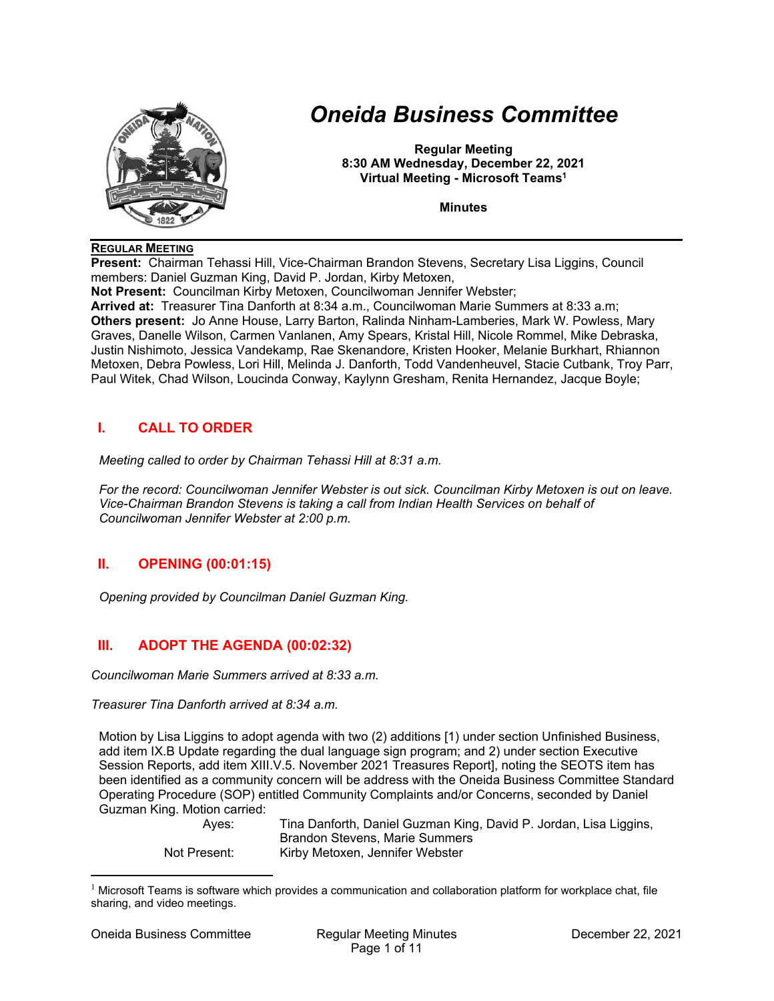

# *Oneida Business Committee*

**Regular Meeting 8:30 AM Wednesday, December 22, 2021 Virtual Meeting - Microsoft Teams1**

**Minutes** 

#### **REGULAR MEETING**

**Present:** Chairman Tehassi Hill, Vice-Chairman Brandon Stevens, Secretary Lisa Liggins, Council members: Daniel Guzman King, David P. Jordan, Kirby Metoxen,

**Not Present:** Councilman Kirby Metoxen, Councilwoman Jennifer Webster;

**Arrived at:** Treasurer Tina Danforth at 8:34 a.m., Councilwoman Marie Summers at 8:33 a.m; **Others present:** Jo Anne House, Larry Barton, Ralinda Ninham-Lamberies, Mark W. Powless, Mary Graves, Danelle Wilson, Carmen Vanlanen, Amy Spears, Kristal Hill, Nicole Rommel, Mike Debraska, Justin Nishimoto, Jessica Vandekamp, Rae Skenandore, Kristen Hooker, Melanie Burkhart, Rhiannon Metoxen, Debra Powless, Lori Hill, Melinda J. Danforth, Todd Vandenheuvel, Stacie Cutbank, Troy Parr, Paul Witek, Chad Wilson, Loucinda Conway, Kaylynn Gresham, Renita Hernandez, Jacque Boyle;

# **I. CALL TO ORDER**

*Meeting called to order by Chairman Tehassi Hill at 8:31 a.m.* 

*For the record: Councilwoman Jennifer Webster is out sick. Councilman Kirby Metoxen is out on leave. Vice-Chairman Brandon Stevens is taking a call from Indian Health Services on behalf of Councilwoman Jennifer Webster at 2:00 p.m.* 

# **II. OPENING (00:01:15)**

*Opening provided by Councilman Daniel Guzman King.* 

# **III. ADOPT THE AGENDA (00:02:32)**

*Councilwoman Marie Summers arrived at 8:33 a.m.* 

#### *Treasurer Tina Danforth arrived at 8:34 a.m.*

Motion by Lisa Liggins to adopt agenda with two (2) additions [1) under section Unfinished Business, add item IX.B Update regarding the dual language sign program; and 2) under section Executive Session Reports, add item XIII.V.5. November 2021 Treasures Report], noting the SEOTS item has been identified as a community concern will be address with the Oneida Business Committee Standard Operating Procedure (SOP) entitled Community Complaints and/or Concerns, seconded by Daniel Guzman King. Motion carried:

 Ayes: Tina Danforth, Daniel Guzman King, David P. Jordan, Lisa Liggins, Brandon Stevens, Marie Summers Not Present: Kirby Metoxen, Jennifer Webster

 $1$  Microsoft Teams is software which provides a communication and collaboration platform for workplace chat, file sharing, and video meetings.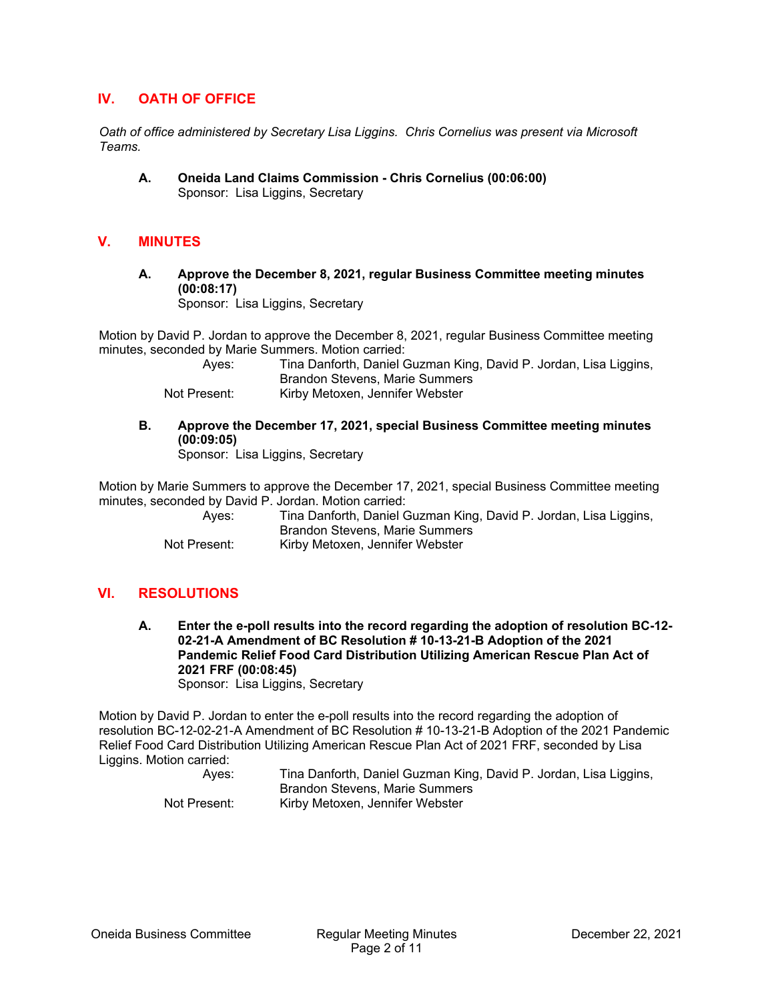## **IV. OATH OF OFFICE**

*Oath of office administered by Secretary Lisa Liggins. Chris Cornelius was present via Microsoft Teams.* 

**A. Oneida Land Claims Commission - Chris Cornelius (00:06:00)**  Sponsor: Lisa Liggins, Secretary

#### **V. MINUTES**

**A. Approve the December 8, 2021, regular Business Committee meeting minutes (00:08:17)** 

Sponsor: Lisa Liggins, Secretary

Motion by David P. Jordan to approve the December 8, 2021, regular Business Committee meeting minutes, seconded by Marie Summers. Motion carried:

 Ayes: Tina Danforth, Daniel Guzman King, David P. Jordan, Lisa Liggins, Brandon Stevens, Marie Summers Not Present: Kirby Metoxen, Jennifer Webster

**B. Approve the December 17, 2021, special Business Committee meeting minutes (00:09:05)** 

Sponsor: Lisa Liggins, Secretary

Motion by Marie Summers to approve the December 17, 2021, special Business Committee meeting minutes, seconded by David P. Jordan. Motion carried:

| Aves:        | Tina Danforth, Daniel Guzman King, David P. Jordan, Lisa Liggins, |
|--------------|-------------------------------------------------------------------|
|              | Brandon Stevens, Marie Summers                                    |
| Not Present: | Kirby Metoxen, Jennifer Webster                                   |

## **VI. RESOLUTIONS**

**A. Enter the e-poll results into the record regarding the adoption of resolution BC-12- 02-21-A Amendment of BC Resolution # 10-13-21-B Adoption of the 2021 Pandemic Relief Food Card Distribution Utilizing American Rescue Plan Act of 2021 FRF (00:08:45)**  Sponsor: Lisa Liggins, Secretary

Motion by David P. Jordan to enter the e-poll results into the record regarding the adoption of resolution BC-12-02-21-A Amendment of BC Resolution # 10-13-21-B Adoption of the 2021 Pandemic Relief Food Card Distribution Utilizing American Rescue Plan Act of 2021 FRF, seconded by Lisa Liggins. Motion carried:

| Aves:        | Tina Danforth, Daniel Guzman King, David P. Jordan, Lisa Liggins, |
|--------------|-------------------------------------------------------------------|
|              | Brandon Stevens, Marie Summers                                    |
| Not Present: | Kirby Metoxen, Jennifer Webster                                   |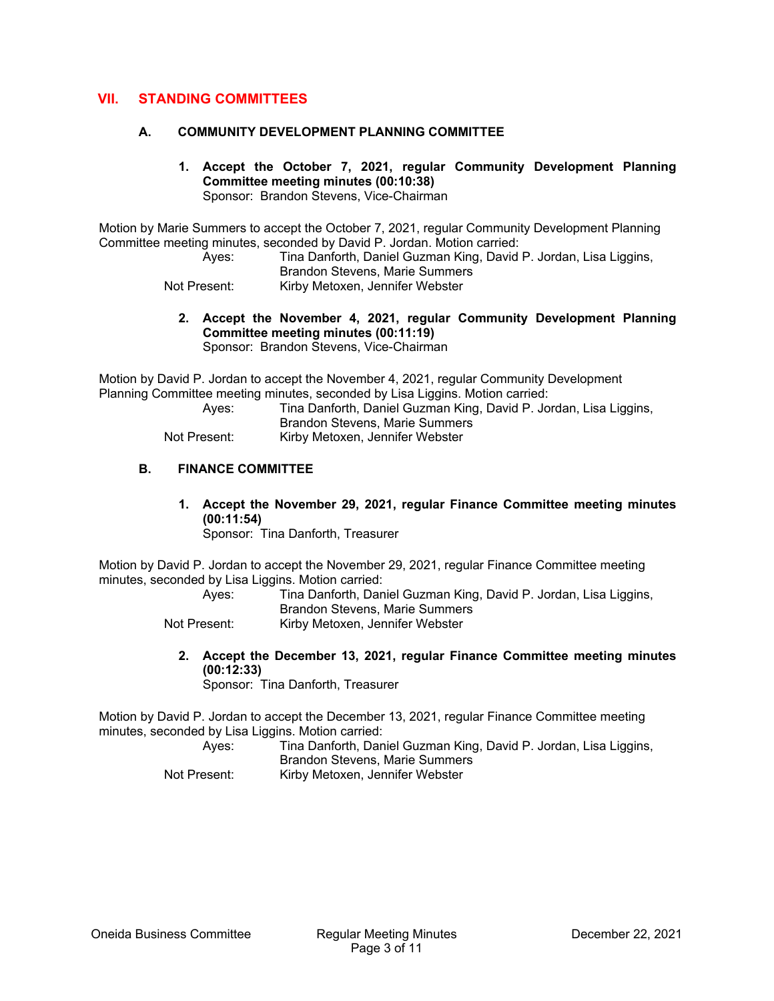## **VII. STANDING COMMITTEES**

#### **A. COMMUNITY DEVELOPMENT PLANNING COMMITTEE**

**1. Accept the October 7, 2021, regular Community Development Planning Committee meeting minutes (00:10:38)**  Sponsor: Brandon Stevens, Vice-Chairman

Motion by Marie Summers to accept the October 7, 2021, regular Community Development Planning Committee meeting minutes, seconded by David P. Jordan. Motion carried:

 Ayes: Tina Danforth, Daniel Guzman King, David P. Jordan, Lisa Liggins, Brandon Stevens, Marie Summers

Not Present: Kirby Metoxen, Jennifer Webster

**2. Accept the November 4, 2021, regular Community Development Planning Committee meeting minutes (00:11:19)**  Sponsor: Brandon Stevens, Vice-Chairman

Motion by David P. Jordan to accept the November 4, 2021, regular Community Development Planning Committee meeting minutes, seconded by Lisa Liggins. Motion carried:

 Ayes: Tina Danforth, Daniel Guzman King, David P. Jordan, Lisa Liggins, Brandon Stevens, Marie Summers Not Present: Kirby Metoxen, Jennifer Webster

**B. FINANCE COMMITTEE** 

**1. Accept the November 29, 2021, regular Finance Committee meeting minutes (00:11:54)** 

Sponsor: Tina Danforth, Treasurer

Motion by David P. Jordan to accept the November 29, 2021, regular Finance Committee meeting minutes, seconded by Lisa Liggins. Motion carried:

 Ayes: Tina Danforth, Daniel Guzman King, David P. Jordan, Lisa Liggins, Brandon Stevens, Marie Summers

- Not Present: Kirby Metoxen, Jennifer Webster
	- **2. Accept the December 13, 2021, regular Finance Committee meeting minutes (00:12:33)**

Sponsor: Tina Danforth, Treasurer

Motion by David P. Jordan to accept the December 13, 2021, regular Finance Committee meeting minutes, seconded by Lisa Liggins. Motion carried:

| Ayes:        | Tina Danforth, Daniel Guzman King, David P. Jordan, Lisa Liggins, |
|--------------|-------------------------------------------------------------------|
|              |                                                                   |
|              | Brandon Stevens, Marie Summers                                    |
| Not Present: | Kirby Metoxen, Jennifer Webster                                   |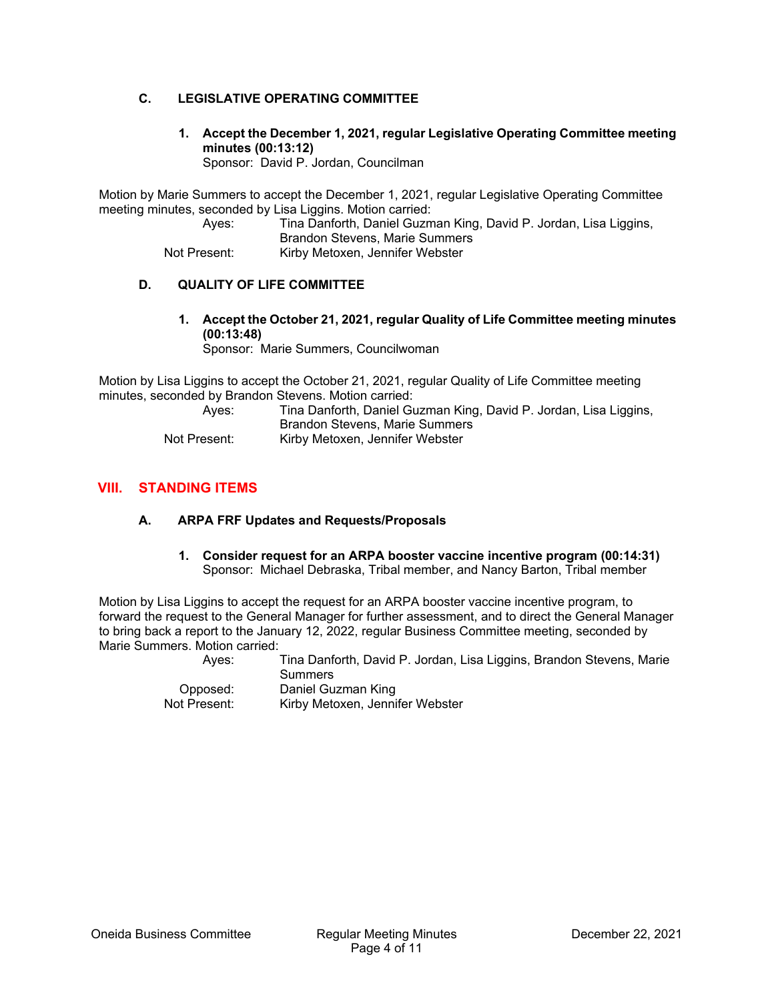#### **C. LEGISLATIVE OPERATING COMMITTEE**

**1. Accept the December 1, 2021, regular Legislative Operating Committee meeting minutes (00:13:12)** 

Sponsor: David P. Jordan, Councilman

Motion by Marie Summers to accept the December 1, 2021, regular Legislative Operating Committee meeting minutes, seconded by Lisa Liggins. Motion carried:

 Ayes: Tina Danforth, Daniel Guzman King, David P. Jordan, Lisa Liggins, Brandon Stevens, Marie Summers

Not Present: Kirby Metoxen, Jennifer Webster

### **D. QUALITY OF LIFE COMMITTEE**

**1. Accept the October 21, 2021, regular Quality of Life Committee meeting minutes (00:13:48)** 

Sponsor: Marie Summers, Councilwoman

Motion by Lisa Liggins to accept the October 21, 2021, regular Quality of Life Committee meeting minutes, seconded by Brandon Stevens. Motion carried:

| Aves:        | Tina Danforth, Daniel Guzman King, David P. Jordan, Lisa Liggins, |
|--------------|-------------------------------------------------------------------|
|              | Brandon Stevens, Marie Summers                                    |
| Not Present: | Kirby Metoxen, Jennifer Webster                                   |

# **VIII. STANDING ITEMS**

### **A. ARPA FRF Updates and Requests/Proposals**

**1. Consider request for an ARPA booster vaccine incentive program (00:14:31)**  Sponsor: Michael Debraska, Tribal member, and Nancy Barton, Tribal member

Motion by Lisa Liggins to accept the request for an ARPA booster vaccine incentive program, to forward the request to the General Manager for further assessment, and to direct the General Manager to bring back a report to the January 12, 2022, regular Business Committee meeting, seconded by Marie Summers. Motion carried:

 Ayes: Tina Danforth, David P. Jordan, Lisa Liggins, Brandon Stevens, Marie Summers Opposed: Daniel Guzman King Kirby Metoxen, Jennifer Webster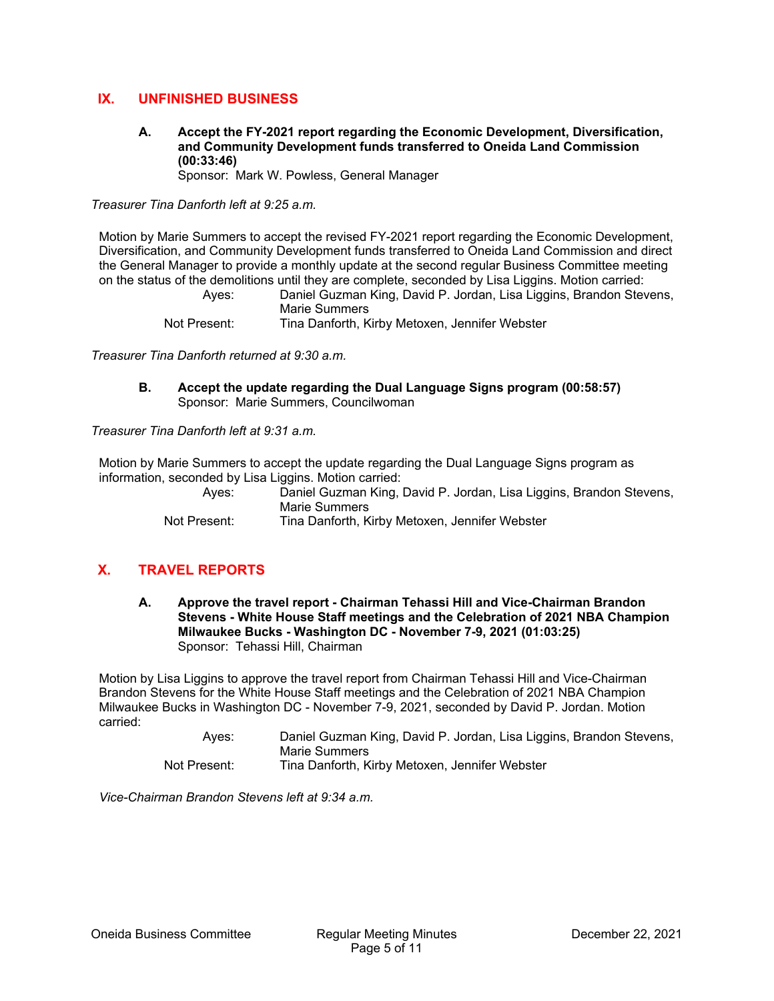## **IX. UNFINISHED BUSINESS**

## **A. Accept the FY-2021 report regarding the Economic Development, Diversification, and Community Development funds transferred to Oneida Land Commission (00:33:46)**

Sponsor: Mark W. Powless, General Manager

*Treasurer Tina Danforth left at 9:25 a.m.* 

Motion by Marie Summers to accept the revised FY-2021 report regarding the Economic Development, Diversification, and Community Development funds transferred to Oneida Land Commission and direct the General Manager to provide a monthly update at the second regular Business Committee meeting on the status of the demolitions until they are complete, seconded by Lisa Liggins. Motion carried:

> Ayes: Daniel Guzman King, David P. Jordan, Lisa Liggins, Brandon Stevens, Marie Summers Not Present: Tina Danforth, Kirby Metoxen, Jennifer Webster

*Treasurer Tina Danforth returned at 9:30 a.m.* 

**B. Accept the update regarding the Dual Language Signs program (00:58:57)**  Sponsor: Marie Summers, Councilwoman

*Treasurer Tina Danforth left at 9:31 a.m.* 

Motion by Marie Summers to accept the update regarding the Dual Language Signs program as information, seconded by Lisa Liggins. Motion carried:

 Ayes: Daniel Guzman King, David P. Jordan, Lisa Liggins, Brandon Stevens, Marie Summers Not Present: Tina Danforth, Kirby Metoxen, Jennifer Webster

# **X. TRAVEL REPORTS**

**A. Approve the travel report - Chairman Tehassi Hill and Vice-Chairman Brandon Stevens - White House Staff meetings and the Celebration of 2021 NBA Champion Milwaukee Bucks - Washington DC - November 7-9, 2021 (01:03:25)**  Sponsor: Tehassi Hill, Chairman

Motion by Lisa Liggins to approve the travel report from Chairman Tehassi Hill and Vice-Chairman Brandon Stevens for the White House Staff meetings and the Celebration of 2021 NBA Champion Milwaukee Bucks in Washington DC - November 7-9, 2021, seconded by David P. Jordan. Motion carried:

> Ayes: Daniel Guzman King, David P. Jordan, Lisa Liggins, Brandon Stevens, Marie Summers Not Present: Tina Danforth, Kirby Metoxen, Jennifer Webster

*Vice-Chairman Brandon Stevens left at 9:34 a.m.*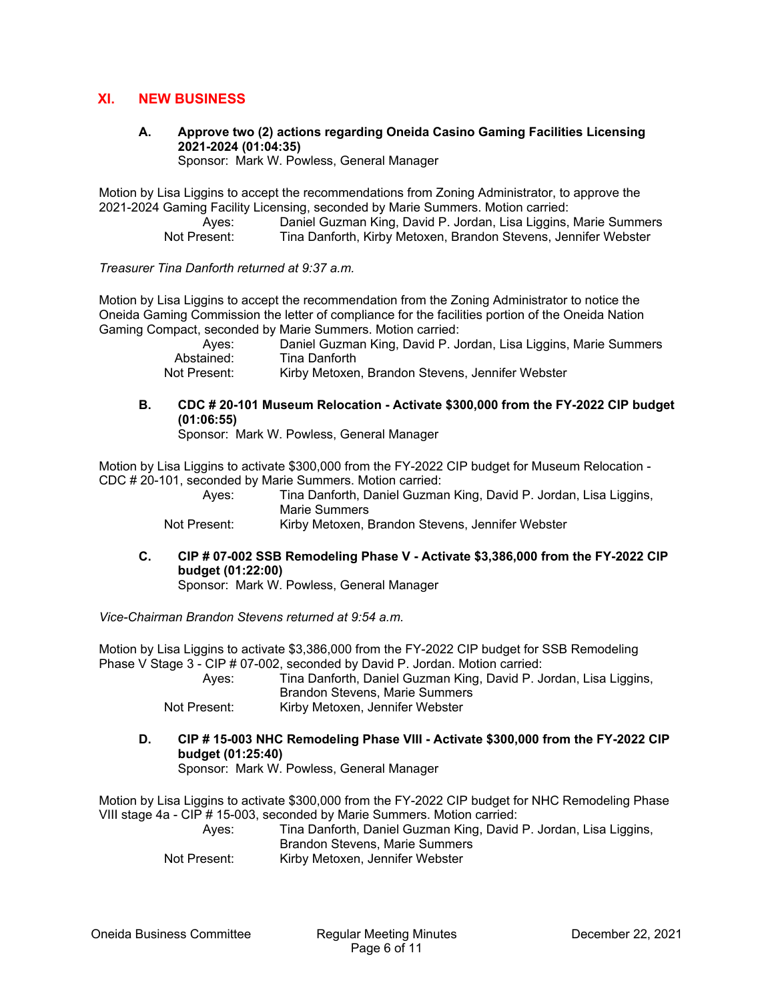## **XI. NEW BUSINESS**

**A. Approve two (2) actions regarding Oneida Casino Gaming Facilities Licensing 2021-2024 (01:04:35)** 

Sponsor: Mark W. Powless, General Manager

Motion by Lisa Liggins to accept the recommendations from Zoning Administrator, to approve the 2021-2024 Gaming Facility Licensing, seconded by Marie Summers. Motion carried:

 Ayes: Daniel Guzman King, David P. Jordan, Lisa Liggins, Marie Summers Not Present: Tina Danforth, Kirby Metoxen, Brandon Stevens, Jennifer Webster

*Treasurer Tina Danforth returned at 9:37 a.m.* 

Motion by Lisa Liggins to accept the recommendation from the Zoning Administrator to notice the Oneida Gaming Commission the letter of compliance for the facilities portion of the Oneida Nation Gaming Compact, seconded by Marie Summers. Motion carried:

| Aves:        | Daniel Guzman King, David P. Jordan, Lisa Liggins, Marie Summers |
|--------------|------------------------------------------------------------------|
| Abstained:   | Tina Danforth                                                    |
| Not Present: | Kirby Metoxen, Brandon Stevens, Jennifer Webster                 |

**B. CDC # 20-101 Museum Relocation - Activate \$300,000 from the FY-2022 CIP budget (01:06:55)** 

Sponsor: Mark W. Powless, General Manager

Motion by Lisa Liggins to activate \$300,000 from the FY-2022 CIP budget for Museum Relocation - CDC # 20-101, seconded by Marie Summers. Motion carried:

> Ayes: Tina Danforth, Daniel Guzman King, David P. Jordan, Lisa Liggins, Marie Summers

Not Present: Kirby Metoxen, Brandon Stevens, Jennifer Webster

**C. CIP # 07-002 SSB Remodeling Phase V - Activate \$3,386,000 from the FY-2022 CIP budget (01:22:00)** 

Sponsor: Mark W. Powless, General Manager

*Vice-Chairman Brandon Stevens returned at 9:54 a.m.* 

Motion by Lisa Liggins to activate \$3,386,000 from the FY-2022 CIP budget for SSB Remodeling Phase V Stage 3 - CIP # 07-002, seconded by David P. Jordan. Motion carried:

 Ayes: Tina Danforth, Daniel Guzman King, David P. Jordan, Lisa Liggins, Brandon Stevens, Marie Summers

Not Present: Kirby Metoxen, Jennifer Webster

**D. CIP # 15-003 NHC Remodeling Phase VIII - Activate \$300,000 from the FY-2022 CIP budget (01:25:40)** 

Sponsor: Mark W. Powless, General Manager

Motion by Lisa Liggins to activate \$300,000 from the FY-2022 CIP budget for NHC Remodeling Phase VIII stage 4a - CIP # 15-003, seconded by Marie Summers. Motion carried:

> Ayes: Tina Danforth, Daniel Guzman King, David P. Jordan, Lisa Liggins, Brandon Stevens, Marie Summers

Not Present: Kirby Metoxen, Jennifer Webster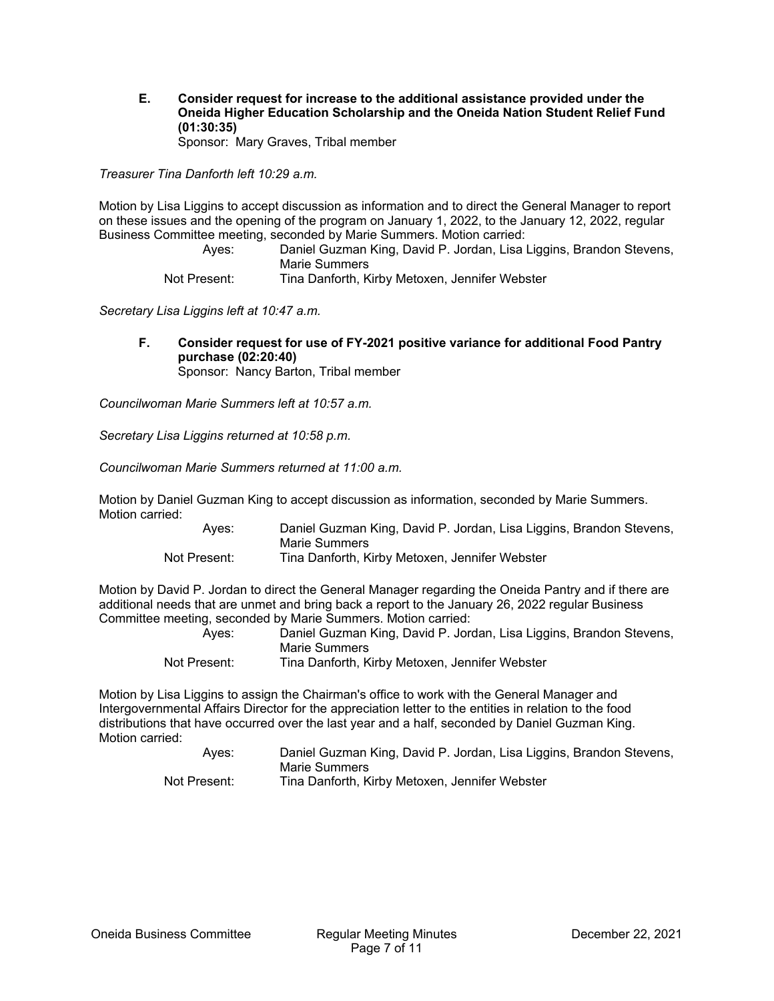**E. Consider request for increase to the additional assistance provided under the Oneida Higher Education Scholarship and the Oneida Nation Student Relief Fund (01:30:35)**  Sponsor: Mary Graves, Tribal member

*Treasurer Tina Danforth left 10:29 a.m.* 

Motion by Lisa Liggins to accept discussion as information and to direct the General Manager to report on these issues and the opening of the program on January 1, 2022, to the January 12, 2022, regular Business Committee meeting, seconded by Marie Summers. Motion carried:

 Ayes: Daniel Guzman King, David P. Jordan, Lisa Liggins, Brandon Stevens, Marie Summers

Not Present: Tina Danforth, Kirby Metoxen, Jennifer Webster

*Secretary Lisa Liggins left at 10:47 a.m.* 

**F. Consider request for use of FY-2021 positive variance for additional Food Pantry purchase (02:20:40)**  Sponsor: Nancy Barton, Tribal member

*Councilwoman Marie Summers left at 10:57 a.m.* 

*Secretary Lisa Liggins returned at 10:58 p.m.* 

*Councilwoman Marie Summers returned at 11:00 a.m.* 

Motion by Daniel Guzman King to accept discussion as information, seconded by Marie Summers. Motion carried:

 Ayes: Daniel Guzman King, David P. Jordan, Lisa Liggins, Brandon Stevens, Marie Summers Not Present: Tina Danforth, Kirby Metoxen, Jennifer Webster

Motion by David P. Jordan to direct the General Manager regarding the Oneida Pantry and if there are additional needs that are unmet and bring back a report to the January 26, 2022 regular Business Committee meeting, seconded by Marie Summers. Motion carried:

| Aves:        | Daniel Guzman King, David P. Jordan, Lisa Liggins, Brandon Stevens, |
|--------------|---------------------------------------------------------------------|
|              | Marie Summers                                                       |
| Not Present: | Tina Danforth, Kirby Metoxen, Jennifer Webster                      |

Motion by Lisa Liggins to assign the Chairman's office to work with the General Manager and Intergovernmental Affairs Director for the appreciation letter to the entities in relation to the food distributions that have occurred over the last year and a half, seconded by Daniel Guzman King. Motion carried:

| Aves:        | Daniel Guzman King, David P. Jordan, Lisa Liggins, Brandon Stevens, |
|--------------|---------------------------------------------------------------------|
|              | Marie Summers                                                       |
| Not Present: | Tina Danforth, Kirby Metoxen, Jennifer Webster                      |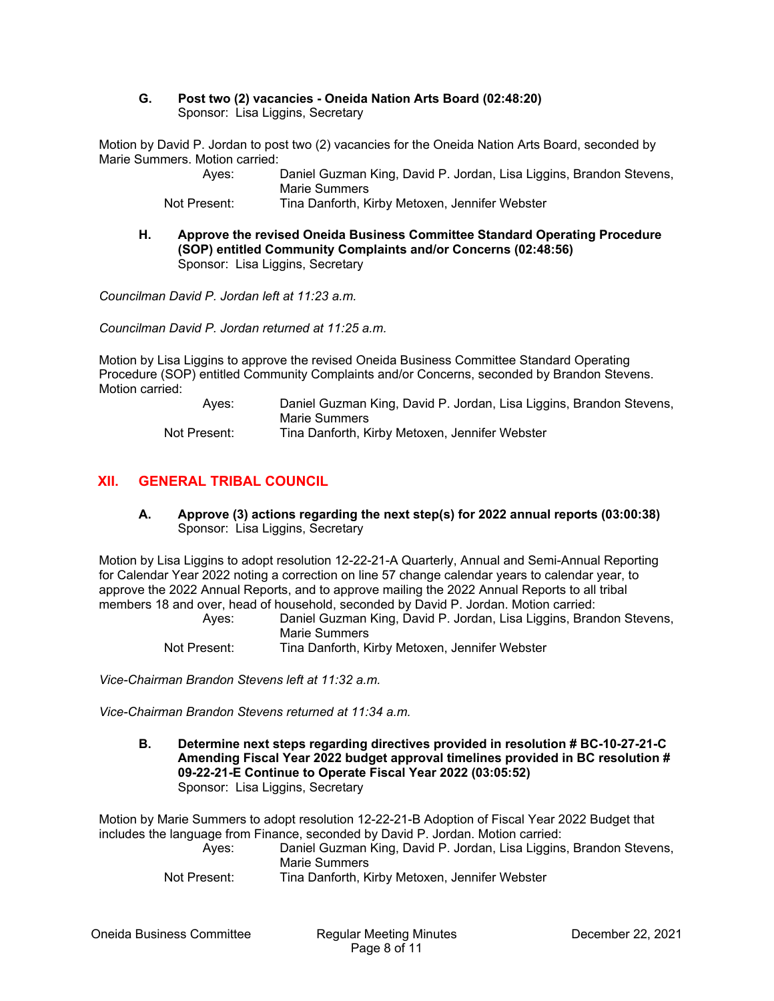#### **G. Post two (2) vacancies - Oneida Nation Arts Board (02:48:20)**  Sponsor: Lisa Liggins, Secretary

Motion by David P. Jordan to post two (2) vacancies for the Oneida Nation Arts Board, seconded by Marie Summers. Motion carried:

> Ayes: Daniel Guzman King, David P. Jordan, Lisa Liggins, Brandon Stevens, Marie Summers

Not Present: Tina Danforth, Kirby Metoxen, Jennifer Webster

**H. Approve the revised Oneida Business Committee Standard Operating Procedure (SOP) entitled Community Complaints and/or Concerns (02:48:56)**  Sponsor: Lisa Liggins, Secretary

*Councilman David P. Jordan left at 11:23 a.m.* 

*Councilman David P. Jordan returned at 11:25 a.m.* 

Motion by Lisa Liggins to approve the revised Oneida Business Committee Standard Operating Procedure (SOP) entitled Community Complaints and/or Concerns, seconded by Brandon Stevens. Motion carried:

> Ayes: Daniel Guzman King, David P. Jordan, Lisa Liggins, Brandon Stevens, Marie Summers Not Present: Tina Danforth, Kirby Metoxen, Jennifer Webster

# **XII. GENERAL TRIBAL COUNCIL**

**A. Approve (3) actions regarding the next step(s) for 2022 annual reports (03:00:38)**  Sponsor: Lisa Liggins, Secretary

Motion by Lisa Liggins to adopt resolution 12-22-21-A Quarterly, Annual and Semi-Annual Reporting for Calendar Year 2022 noting a correction on line 57 change calendar years to calendar year, to approve the 2022 Annual Reports, and to approve mailing the 2022 Annual Reports to all tribal members 18 and over, head of household, seconded by David P. Jordan. Motion carried:

 Ayes: Daniel Guzman King, David P. Jordan, Lisa Liggins, Brandon Stevens, Marie Summers Not Present: Tina Danforth, Kirby Metoxen, Jennifer Webster

*Vice-Chairman Brandon Stevens left at 11:32 a.m.* 

*Vice-Chairman Brandon Stevens returned at 11:34 a.m.* 

**B. Determine next steps regarding directives provided in resolution # BC-10-27-21-C Amending Fiscal Year 2022 budget approval timelines provided in BC resolution # 09-22-21-E Continue to Operate Fiscal Year 2022 (03:05:52)**  Sponsor: Lisa Liggins, Secretary

Motion by Marie Summers to adopt resolution 12-22-21-B Adoption of Fiscal Year 2022 Budget that includes the language from Finance, seconded by David P. Jordan. Motion carried:

| Ayes:        | Daniel Guzman King, David P. Jordan, Lisa Liggins, Brandon Stevens, |
|--------------|---------------------------------------------------------------------|
|              | Marie Summers                                                       |
| Not Present: | Tina Danforth, Kirby Metoxen, Jennifer Webster                      |

Oneida Business Committee Regular Meeting Minutes December 22, 2021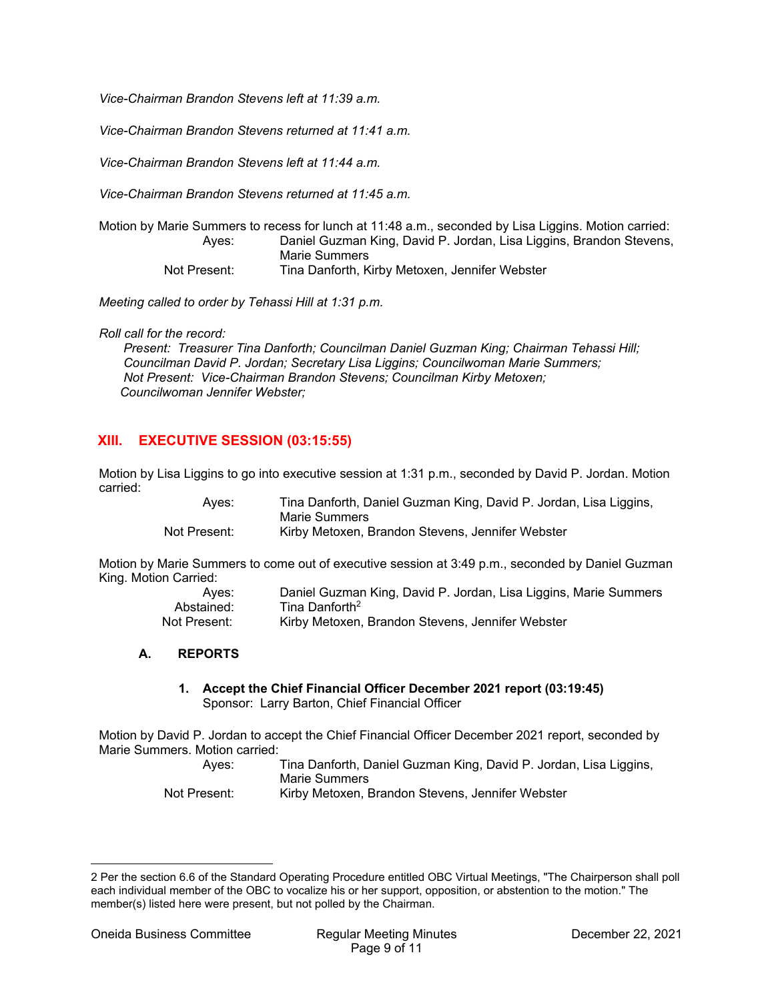*Vice-Chairman Brandon Stevens left at 11:39 a.m.* 

*Vice-Chairman Brandon Stevens returned at 11:41 a.m.* 

*Vice-Chairman Brandon Stevens left at 11:44 a.m.* 

*Vice-Chairman Brandon Stevens returned at 11:45 a.m.* 

Motion by Marie Summers to recess for lunch at 11:48 a.m., seconded by Lisa Liggins. Motion carried: Ayes: Daniel Guzman King, David P. Jordan, Lisa Liggins, Brandon Stevens, Marie Summers Not Present: Tina Danforth, Kirby Metoxen, Jennifer Webster

*Meeting called to order by Tehassi Hill at 1:31 p.m.* 

*Roll call for the record:* 

 *Present: Treasurer Tina Danforth; Councilman Daniel Guzman King; Chairman Tehassi Hill; Councilman David P. Jordan; Secretary Lisa Liggins; Councilwoman Marie Summers; Not Present: Vice-Chairman Brandon Stevens; Councilman Kirby Metoxen; Councilwoman Jennifer Webster;* 

# **XIII. EXECUTIVE SESSION (03:15:55)**

Motion by Lisa Liggins to go into executive session at 1:31 p.m., seconded by David P. Jordan. Motion carried:

| Ayes:        | Tina Danforth, Daniel Guzman King, David P. Jordan, Lisa Liggins, |
|--------------|-------------------------------------------------------------------|
|              | Marie Summers                                                     |
| Not Present: | Kirby Metoxen, Brandon Stevens, Jennifer Webster                  |

Motion by Marie Summers to come out of executive session at 3:49 p.m., seconded by Daniel Guzman King. Motion Carried:

| Aves:        | Daniel Guzman King, David P. Jordan, Lisa Liggins, Marie Summers |
|--------------|------------------------------------------------------------------|
| Abstained:   | Tina Danforth <sup>2</sup>                                       |
| Not Present: | Kirby Metoxen, Brandon Stevens, Jennifer Webster                 |

### **A. REPORTS**

#### **1. Accept the Chief Financial Officer December 2021 report (03:19:45)**  Sponsor: Larry Barton, Chief Financial Officer

Motion by David P. Jordan to accept the Chief Financial Officer December 2021 report, seconded by Marie Summers. Motion carried:

> Ayes: Tina Danforth, Daniel Guzman King, David P. Jordan, Lisa Liggins, Marie Summers Not Present: Kirby Metoxen, Brandon Stevens, Jennifer Webster

<sup>2</sup> Per the section 6.6 of the Standard Operating Procedure entitled OBC Virtual Meetings, "The Chairperson shall poll each individual member of the OBC to vocalize his or her support, opposition, or abstention to the motion." The member(s) listed here were present, but not polled by the Chairman.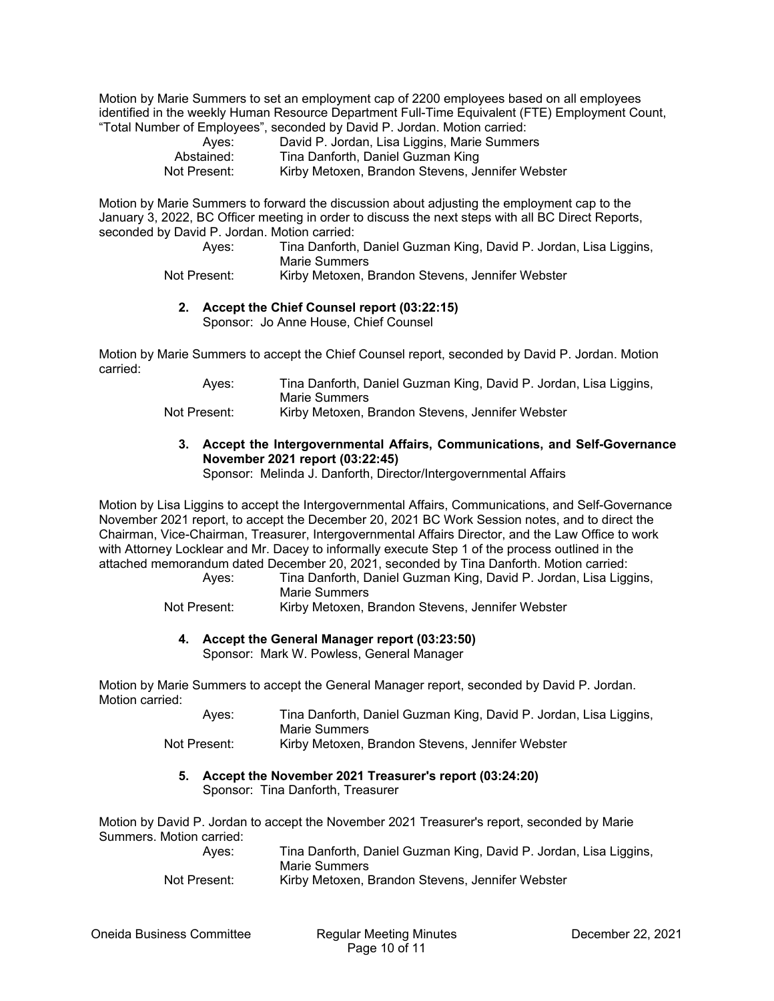Motion by Marie Summers to set an employment cap of 2200 employees based on all employees identified in the weekly Human Resource Department Full-Time Equivalent (FTE) Employment Count, "Total Number of Employees", seconded by David P. Jordan. Motion carried:

| Ayes:        | David P. Jordan, Lisa Liggins, Marie Summers     |
|--------------|--------------------------------------------------|
| Abstained:   | Tina Danforth, Daniel Guzman King                |
| Not Present: | Kirby Metoxen, Brandon Stevens, Jennifer Webster |

Motion by Marie Summers to forward the discussion about adjusting the employment cap to the January 3, 2022, BC Officer meeting in order to discuss the next steps with all BC Direct Reports, seconded by David P. Jordan. Motion carried:

| Ayes:        | Tina Danforth, Daniel Guzman King, David P. Jordan, Lisa Liggins,<br>Marie Summers |
|--------------|------------------------------------------------------------------------------------|
| Not Present: | Kirby Metoxen, Brandon Stevens, Jennifer Webster                                   |

#### **2. Accept the Chief Counsel report (03:22:15)**

Sponsor: Jo Anne House, Chief Counsel

Motion by Marie Summers to accept the Chief Counsel report, seconded by David P. Jordan. Motion carried:

| Ayes: | Tina Danforth, Daniel Guzman King, David P. Jordan, Lisa Liggins, |
|-------|-------------------------------------------------------------------|
|       | Marie Summers                                                     |
|       | .<br>$\overline{\phantom{a}}$<br>$\sim$                           |

Not Present: Kirby Metoxen, Brandon Stevens, Jennifer Webster

## **3. Accept the Intergovernmental Affairs, Communications, and Self-Governance November 2021 report (03:22:45)**

Sponsor: Melinda J. Danforth, Director/Intergovernmental Affairs

Motion by Lisa Liggins to accept the Intergovernmental Affairs, Communications, and Self-Governance November 2021 report, to accept the December 20, 2021 BC Work Session notes, and to direct the Chairman, Vice-Chairman, Treasurer, Intergovernmental Affairs Director, and the Law Office to work with Attorney Locklear and Mr. Dacey to informally execute Step 1 of the process outlined in the attached memorandum dated December 20, 2021, seconded by Tina Danforth. Motion carried:

 Ayes: Tina Danforth, Daniel Guzman King, David P. Jordan, Lisa Liggins, Marie Summers

Not Present: Kirby Metoxen, Brandon Stevens, Jennifer Webster

### **4. Accept the General Manager report (03:23:50)**

Sponsor: Mark W. Powless, General Manager

Motion by Marie Summers to accept the General Manager report, seconded by David P. Jordan. Motion carried:

| Aves:        | Tina Danforth, Daniel Guzman King, David P. Jordan, Lisa Liggins, |
|--------------|-------------------------------------------------------------------|
|              | Marie Summers                                                     |
| Not Present: | Kirby Metoxen, Brandon Stevens, Jennifer Webster                  |

#### **5. Accept the November 2021 Treasurer's report (03:24:20)**  Sponsor: Tina Danforth, Treasurer

Motion by David P. Jordan to accept the November 2021 Treasurer's report, seconded by Marie Summers. Motion carried:

| Ayes:        | Tina Danforth, Daniel Guzman King, David P. Jordan, Lisa Liggins, |
|--------------|-------------------------------------------------------------------|
|              | Marie Summers                                                     |
| Not Present: | Kirby Metoxen, Brandon Stevens, Jennifer Webster                  |